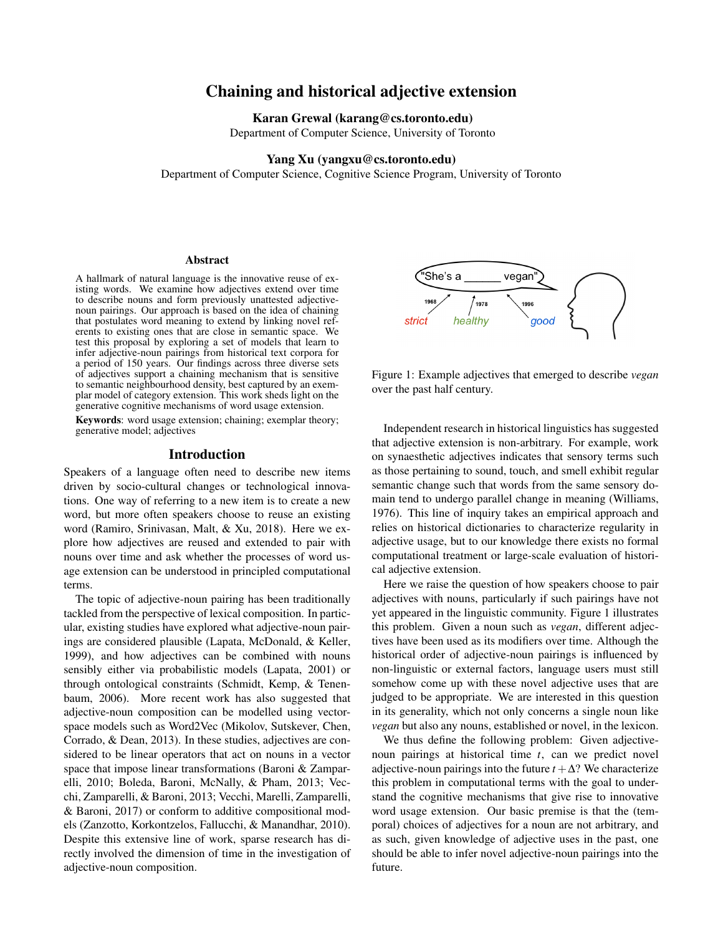# Chaining and historical adjective extension

#### Karan Grewal (karang@cs.toronto.edu)

Department of Computer Science, University of Toronto

#### Yang Xu (yangxu@cs.toronto.edu)

Department of Computer Science, Cognitive Science Program, University of Toronto

#### Abstract

A hallmark of natural language is the innovative reuse of existing words. We examine how adjectives extend over time to describe nouns and form previously unattested adjectivenoun pairings. Our approach is based on the idea of chaining that postulates word meaning to extend by linking novel referents to existing ones that are close in semantic space. We test this proposal by exploring a set of models that learn to infer adjective-noun pairings from historical text corpora for a period of 150 years. Our findings across three diverse sets of adjectives support a chaining mechanism that is sensitive to semantic neighbourhood density, best captured by an exemplar model of category extension. This work sheds light on the generative cognitive mechanisms of word usage extension.

Keywords: word usage extension; chaining; exemplar theory; generative model; adjectives

# Introduction

Speakers of a language often need to describe new items driven by socio-cultural changes or technological innovations. One way of referring to a new item is to create a new word, but more often speakers choose to reuse an existing word (Ramiro, Srinivasan, Malt, & Xu, 2018). Here we explore how adjectives are reused and extended to pair with nouns over time and ask whether the processes of word usage extension can be understood in principled computational terms.

The topic of adjective-noun pairing has been traditionally tackled from the perspective of lexical composition. In particular, existing studies have explored what adjective-noun pairings are considered plausible (Lapata, McDonald, & Keller, 1999), and how adjectives can be combined with nouns sensibly either via probabilistic models (Lapata, 2001) or through ontological constraints (Schmidt, Kemp, & Tenenbaum, 2006). More recent work has also suggested that adjective-noun composition can be modelled using vectorspace models such as Word2Vec (Mikolov, Sutskever, Chen, Corrado, & Dean, 2013). In these studies, adjectives are considered to be linear operators that act on nouns in a vector space that impose linear transformations (Baroni & Zamparelli, 2010; Boleda, Baroni, McNally, & Pham, 2013; Vecchi, Zamparelli, & Baroni, 2013; Vecchi, Marelli, Zamparelli, & Baroni, 2017) or conform to additive compositional models (Zanzotto, Korkontzelos, Fallucchi, & Manandhar, 2010). Despite this extensive line of work, sparse research has directly involved the dimension of time in the investigation of adjective-noun composition.



Figure 1: Example adjectives that emerged to describe *vegan* over the past half century.

Independent research in historical linguistics has suggested that adjective extension is non-arbitrary. For example, work on synaesthetic adjectives indicates that sensory terms such as those pertaining to sound, touch, and smell exhibit regular semantic change such that words from the same sensory domain tend to undergo parallel change in meaning (Williams, 1976). This line of inquiry takes an empirical approach and relies on historical dictionaries to characterize regularity in adjective usage, but to our knowledge there exists no formal computational treatment or large-scale evaluation of historical adjective extension.

Here we raise the question of how speakers choose to pair adjectives with nouns, particularly if such pairings have not yet appeared in the linguistic community. Figure 1 illustrates this problem. Given a noun such as *vegan*, different adjectives have been used as its modifiers over time. Although the historical order of adjective-noun pairings is influenced by non-linguistic or external factors, language users must still somehow come up with these novel adjective uses that are judged to be appropriate. We are interested in this question in its generality, which not only concerns a single noun like *vegan* but also any nouns, established or novel, in the lexicon.

We thus define the following problem: Given adjectivenoun pairings at historical time *t*, can we predict novel adjective-noun pairings into the future  $t + \Delta$ ? We characterize this problem in computational terms with the goal to understand the cognitive mechanisms that give rise to innovative word usage extension. Our basic premise is that the (temporal) choices of adjectives for a noun are not arbitrary, and as such, given knowledge of adjective uses in the past, one should be able to infer novel adjective-noun pairings into the future.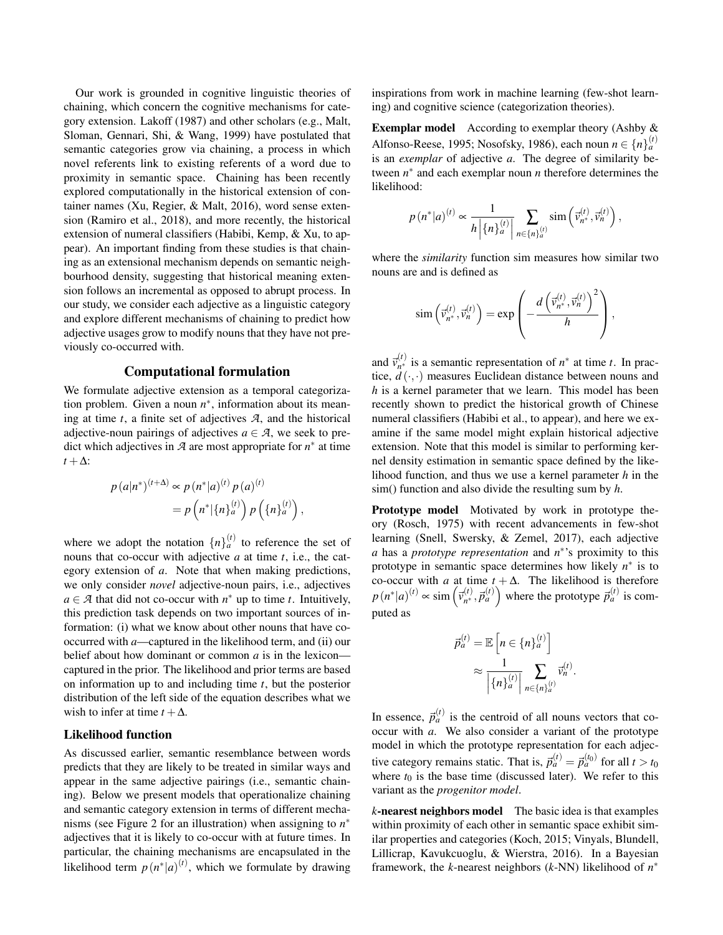Our work is grounded in cognitive linguistic theories of chaining, which concern the cognitive mechanisms for category extension. Lakoff (1987) and other scholars (e.g., Malt, Sloman, Gennari, Shi, & Wang, 1999) have postulated that semantic categories grow via chaining, a process in which novel referents link to existing referents of a word due to proximity in semantic space. Chaining has been recently explored computationally in the historical extension of container names (Xu, Regier, & Malt, 2016), word sense extension (Ramiro et al., 2018), and more recently, the historical extension of numeral classifiers (Habibi, Kemp, & Xu, to appear). An important finding from these studies is that chaining as an extensional mechanism depends on semantic neighbourhood density, suggesting that historical meaning extension follows an incremental as opposed to abrupt process. In our study, we consider each adjective as a linguistic category and explore different mechanisms of chaining to predict how adjective usages grow to modify nouns that they have not previously co-occurred with.

## Computational formulation

We formulate adjective extension as a temporal categorization problem. Given a noun  $n^*$ , information about its meaning at time *t*, a finite set of adjectives *A*, and the historical adjective-noun pairings of adjectives  $a \in \mathcal{A}$ , we seek to predict which adjectives in  $A$  are most appropriate for  $n^*$  at time  $t + \Delta$ :

$$
p (a|n^*)^{(t+\Delta)} \propto p (n^*|a)^{(t)} p (a)^{(t)}
$$
  
=  $p (n^*|{n}^{(t)}_a) p ({n}^{(t)}_a),$ 

where we adopt the notation  $\{n\}_{a}^{(t)}$  to reference the set of nouns that co-occur with adjective *a* at time *t*, i.e., the category extension of *a*. Note that when making predictions, we only consider *novel* adjective-noun pairs, i.e., adjectives  $a \in \mathcal{A}$  that did not co-occur with  $n^*$  up to time *t*. Intuitively, this prediction task depends on two important sources of information: (i) what we know about other nouns that have cooccurred with *a*—captured in the likelihood term, and (ii) our belief about how dominant or common *a* is in the lexicon captured in the prior. The likelihood and prior terms are based on information up to and including time *t*, but the posterior distribution of the left side of the equation describes what we wish to infer at time  $t + \Delta$ .

#### Likelihood function

As discussed earlier, semantic resemblance between words predicts that they are likely to be treated in similar ways and appear in the same adjective pairings (i.e., semantic chaining). Below we present models that operationalize chaining and semantic category extension in terms of different mechanisms (see Figure 2 for an illustration) when assigning to *n* ∗ adjectives that it is likely to co-occur with at future times. In particular, the chaining mechanisms are encapsulated in the likelihood term  $p(n^*|a)^{(t)}$ , which we formulate by drawing inspirations from work in machine learning (few-shot learning) and cognitive science (categorization theories).

Exemplar model According to exemplar theory (Ashby & Alfonso-Reese, 1995; Nosofsky, 1986), each noun  $n \in \{n\}^{(t)}_a$ is an *exemplar* of adjective *a*. The degree of similarity between  $n^*$  and each exemplar noun  $n$  therefore determines the likelihood:

$$
p\left(n^*|a\right)^{(t)} \propto \frac{1}{h\left|\left\{n\right\}_a^{(t)}\right|} \sum_{n \in \left\{n\right\}_a^{(t)}} \text{sim}\left(\vec{v}_{n^*}^{(t)}, \vec{v}_{n}^{(t)}\right),
$$

where the *similarity* function sim measures how similar two nouns are and is defined as

$$
\operatorname{sim}\left(\vec{v}_{n^*}^{(t)}, \vec{v}_{n}^{(t)}\right) = \exp\left(-\frac{d\left(\vec{v}_{n^*}^{(t)}, \vec{v}_{n}^{(t)}\right)^2}{h}\right),\,
$$

and  $\vec{v}_{n*}^{(t)}$  $n^{(t)}$  is a semantic representation of  $n^*$  at time *t*. In practice,  $\ddot{d}(\cdot,\cdot)$  measures Euclidean distance between nouns and *h* is a kernel parameter that we learn. This model has been recently shown to predict the historical growth of Chinese numeral classifiers (Habibi et al., to appear), and here we examine if the same model might explain historical adjective extension. Note that this model is similar to performing kernel density estimation in semantic space defined by the likelihood function, and thus we use a kernel parameter *h* in the sim() function and also divide the resulting sum by *h*.

Prototype model Motivated by work in prototype theory (Rosch, 1975) with recent advancements in few-shot learning (Snell, Swersky, & Zemel, 2017), each adjective *a* has a *prototype representation* and *n* ∗ 's proximity to this prototype in semantic space determines how likely  $n^*$  is to co-occur with *a* at time  $t + \Delta$ . The likelihood is therefore  $p(n^*|a)^{(t)} \propto \text{sim}\left(\vec{v}_{n^*}^{(t)}\right)$  $\left(\begin{matrix}a\\
n\end{matrix}\right)$ ,  $\vec{p}_a^{(t)}$  where the prototype  $\vec{p}_a^{(t)}$  is computed as

$$
\vec{p}_a^{(t)} = \mathbb{E}\left[n \in \{n\}_a^{(t)}\right] \approx \frac{1}{\left\{n\}_a^{(t)}\right\}} \sum_{n \in \{n\}_a^{(t)}} \vec{v}_n^{(t)}.
$$

In essence,  $\vec{p}_a^{(t)}$  is the centroid of all nouns vectors that cooccur with *a*. We also consider a variant of the prototype model in which the prototype representation for each adjective category remains static. That is,  $\vec{p}_a^{(t)} = \vec{p}_a^{(t_0)}$  for all  $t > t_0$ where  $t_0$  is the base time (discussed later). We refer to this variant as the *progenitor model*.

*k*-nearest neighbors model The basic idea is that examples within proximity of each other in semantic space exhibit similar properties and categories (Koch, 2015; Vinyals, Blundell, Lillicrap, Kavukcuoglu, & Wierstra, 2016). In a Bayesian framework, the *k*-nearest neighbors (*k*-NN) likelihood of *n* ∗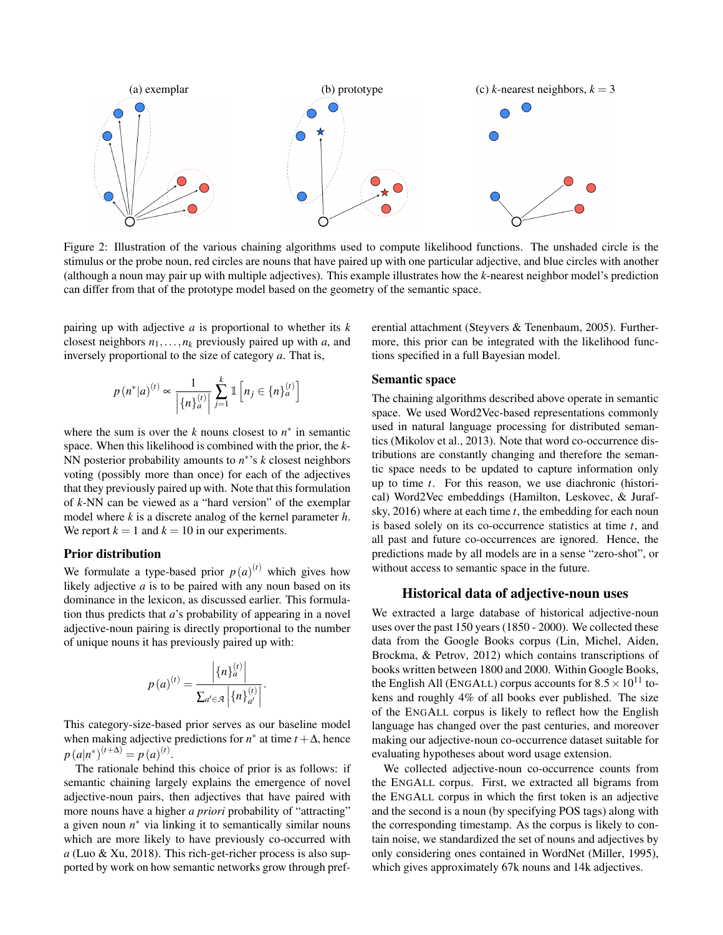

Figure 2: Illustration of the various chaining algorithms used to compute likelihood functions. The unshaded circle is the stimulus or the probe noun, red circles are nouns that have paired up with one particular adjective, and blue circles with another (although a noun may pair up with multiple adjectives). This example illustrates how the *k*-nearest neighbor model's prediction can differ from that of the prototype model based on the geometry of the semantic space.

pairing up with adjective *a* is proportional to whether its *k* closest neighbors  $n_1, \ldots, n_k$  previously paired up with *a*, and inversely proportional to the size of category *a*. That is,

$$
p\left(n^*|a\right)^{(t)} \propto \frac{1}{\left|\left\{n\right\}_a^{(t)}\right|} \sum_{j=1}^k \mathbb{1}\left[n_j \in \left\{n\right\}_a^{(t)}\right]
$$

where the sum is over the  $k$  nouns closest to  $n^*$  in semantic space. When this likelihood is combined with the prior, the *k*-NN posterior probability amounts to *n* ∗ 's *k* closest neighbors voting (possibly more than once) for each of the adjectives that they previously paired up with. Note that this formulation of *k*-NN can be viewed as a "hard version" of the exemplar model where *k* is a discrete analog of the kernel parameter *h*. We report  $k = 1$  and  $k = 10$  in our experiments.

#### Prior distribution

We formulate a type-based prior  $p(a)^{(t)}$  which gives how likely adjective *a* is to be paired with any noun based on its dominance in the lexicon, as discussed earlier. This formulation thus predicts that *a*'s probability of appearing in a novel adjective-noun pairing is directly proportional to the number of unique nouns it has previously paired up with:

$$
p(a)^{(t)} = \frac{\left| \{n\}_a^{(t)} \right|}{\sum_{a' \in \mathcal{A}} \left| \{n\}_a^{(t)} \right|}.
$$

This category-size-based prior serves as our baseline model when making adjective predictions for  $n^*$  at time  $t + \Delta$ , hence  $p(a|n^*)^{(t+\Delta)} = p(a)^{(t)}.$ 

The rationale behind this choice of prior is as follows: if semantic chaining largely explains the emergence of novel adjective-noun pairs, then adjectives that have paired with more nouns have a higher *a priori* probability of "attracting" a given noun  $n^*$  via linking it to semantically similar nouns which are more likely to have previously co-occurred with *a* (Luo & Xu, 2018). This rich-get-richer process is also supported by work on how semantic networks grow through preferential attachment (Steyvers & Tenenbaum, 2005). Furthermore, this prior can be integrated with the likelihood functions specified in a full Bayesian model.

#### Semantic space

The chaining algorithms described above operate in semantic space. We used Word2Vec-based representations commonly used in natural language processing for distributed semantics (Mikolov et al., 2013). Note that word co-occurrence distributions are constantly changing and therefore the semantic space needs to be updated to capture information only up to time *t*. For this reason, we use diachronic (historical) Word2Vec embeddings (Hamilton, Leskovec, & Jurafsky, 2016) where at each time *t*, the embedding for each noun is based solely on its co-occurrence statistics at time *t*, and all past and future co-occurrences are ignored. Hence, the predictions made by all models are in a sense "zero-shot", or without access to semantic space in the future.

## Historical data of adjective-noun uses

We extracted a large database of historical adjective-noun uses over the past 150 years (1850 - 2000). We collected these data from the Google Books corpus (Lin, Michel, Aiden, Brockma, & Petrov, 2012) which contains transcriptions of books written between 1800 and 2000. Within Google Books, the English All (ENGALL) corpus accounts for  $8.5 \times 10^{11}$  tokens and roughly 4% of all books ever published. The size of the ENGALL corpus is likely to reflect how the English language has changed over the past centuries, and moreover making our adjective-noun co-occurrence dataset suitable for evaluating hypotheses about word usage extension.

We collected adjective-noun co-occurrence counts from the ENGALL corpus. First, we extracted all bigrams from the ENGALL corpus in which the first token is an adjective and the second is a noun (by specifying POS tags) along with the corresponding timestamp. As the corpus is likely to contain noise, we standardized the set of nouns and adjectives by only considering ones contained in WordNet (Miller, 1995), which gives approximately 67k nouns and 14k adjectives.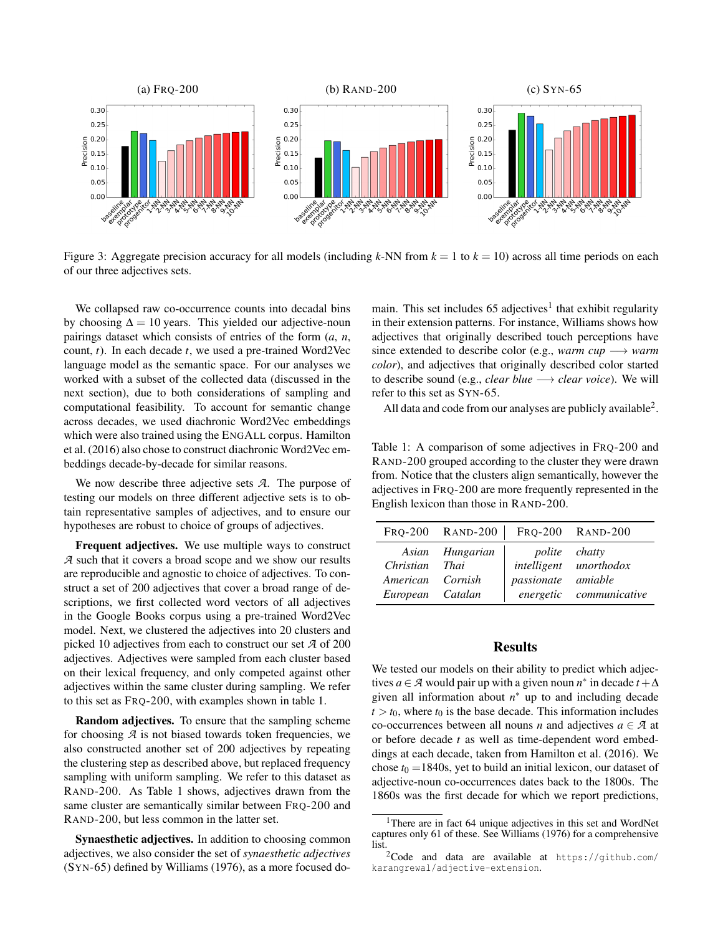

Figure 3: Aggregate precision accuracy for all models (including  $k$ -NN from  $k = 1$  to  $k = 10$ ) across all time periods on each of our three adjectives sets.

We collapsed raw co-occurrence counts into decadal bins by choosing  $\Delta = 10$  years. This yielded our adjective-noun pairings dataset which consists of entries of the form (*a*, *n*, count, *t*). In each decade *t*, we used a pre-trained Word2Vec language model as the semantic space. For our analyses we worked with a subset of the collected data (discussed in the next section), due to both considerations of sampling and computational feasibility. To account for semantic change across decades, we used diachronic Word2Vec embeddings which were also trained using the ENGALL corpus. Hamilton et al. (2016) also chose to construct diachronic Word2Vec embeddings decade-by-decade for similar reasons.

We now describe three adjective sets *A*. The purpose of testing our models on three different adjective sets is to obtain representative samples of adjectives, and to ensure our hypotheses are robust to choice of groups of adjectives.

Frequent adjectives. We use multiple ways to construct *A* such that it covers a broad scope and we show our results are reproducible and agnostic to choice of adjectives. To construct a set of 200 adjectives that cover a broad range of descriptions, we first collected word vectors of all adjectives in the Google Books corpus using a pre-trained Word2Vec model. Next, we clustered the adjectives into 20 clusters and picked 10 adjectives from each to construct our set *A* of 200 adjectives. Adjectives were sampled from each cluster based on their lexical frequency, and only competed against other adjectives within the same cluster during sampling. We refer to this set as FRQ-200, with examples shown in table 1.

Random adjectives. To ensure that the sampling scheme for choosing *A* is not biased towards token frequencies, we also constructed another set of 200 adjectives by repeating the clustering step as described above, but replaced frequency sampling with uniform sampling. We refer to this dataset as RAND-200. As Table 1 shows, adjectives drawn from the same cluster are semantically similar between FRQ-200 and RAND-200, but less common in the latter set.

Synaesthetic adjectives. In addition to choosing common adjectives, we also consider the set of *synaesthetic adjectives* (SYN-65) defined by Williams (1976), as a more focused do-

main. This set includes 65 adjectives<sup>1</sup> that exhibit regularity in their extension patterns. For instance, Williams shows how adjectives that originally described touch perceptions have since extended to describe color (e.g., *warm cup* −→ *warm color*), and adjectives that originally described color started to describe sound (e.g., *clear blue* −→ *clear voice*). We will refer to this set as SYN-65.

All data and code from our analyses are publicly available<sup>2</sup>.

Table 1: A comparison of some adjectives in FRQ-200 and RAND-200 grouped according to the cluster they were drawn from. Notice that the clusters align semantically, however the adjectives in FRQ-200 are more frequently represented in the English lexicon than those in RAND-200.

|                                                        | FRQ-200 RAND-200 FRQ-200 RAND-200 |                                            |                                                   |
|--------------------------------------------------------|-----------------------------------|--------------------------------------------|---------------------------------------------------|
| Christian Thai<br>American Cornish<br>European Catalan | Asian Hungarian                   | <i>polite chatty</i><br>passionate amiable | intelligent unorthodox<br>energetic communicative |

#### Results

We tested our models on their ability to predict which adjectives *a* ∈ *A* would pair up with a given noun *n*<sup>\*</sup> in decade *t* +  $\Delta$ given all information about  $n^*$  up to and including decade  $t > t_0$ , where  $t_0$  is the base decade. This information includes co-occurrences between all nouns *n* and adjectives  $a \in \mathcal{A}$  at or before decade *t* as well as time-dependent word embeddings at each decade, taken from Hamilton et al. (2016). We chose  $t_0 = 1840$ s, yet to build an initial lexicon, our dataset of adjective-noun co-occurrences dates back to the 1800s. The 1860s was the first decade for which we report predictions,

<sup>&</sup>lt;sup>1</sup>There are in fact 64 unique adjectives in this set and WordNet captures only 61 of these. See Williams (1976) for a comprehensive list.

 $2$ Code and data are available at https://github.com/ karangrewal/adjective-extension.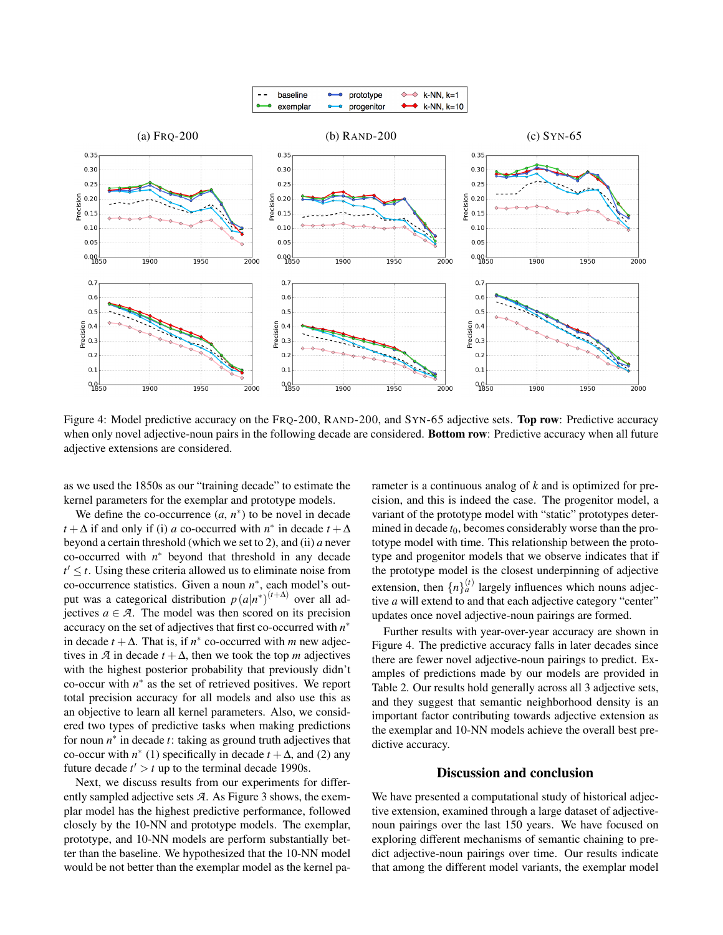

Figure 4: Model predictive accuracy on the FRQ-200, RAND-200, and SYN-65 adjective sets. Top row: Predictive accuracy when only novel adjective-noun pairs in the following decade are considered. Bottom row: Predictive accuracy when all future adjective extensions are considered.

as we used the 1850s as our "training decade" to estimate the kernel parameters for the exemplar and prototype models.

We define the co-occurrence  $(a, n^*)$  to be novel in decade *t* + ∆ if and only if (i) *a* co-occurred with *n*<sup>\*</sup> in decade *t* + ∆ beyond a certain threshold (which we set to 2), and (ii) *a* never co-occurred with *n* <sup>∗</sup> beyond that threshold in any decade  $t' \leq t$ . Using these criteria allowed us to eliminate noise from co-occurrence statistics. Given a noun *n* ∗ , each model's output was a categorical distribution  $p(a|n^*)^{(t+\Delta)}$  over all adjectives  $a \in \mathcal{A}$ . The model was then scored on its precision accuracy on the set of adjectives that first co-occurred with *n* ∗ in decade  $t + \Delta$ . That is, if  $n^*$  co-occurred with *m* new adjectives in  $\mathcal A$  in decade  $t + \Delta$ , then we took the top *m* adjectives with the highest posterior probability that previously didn't  $\text{co-occur with } n^*$  as the set of retrieved positives. We report total precision accuracy for all models and also use this as an objective to learn all kernel parameters. Also, we considered two types of predictive tasks when making predictions for noun  $n^*$  in decade *t*: taking as ground truth adjectives that co-occur with  $n^*$  (1) specifically in decade  $t + \Delta$ , and (2) any future decade  $t' > t$  up to the terminal decade 1990s.

Next, we discuss results from our experiments for differently sampled adjective sets *A*. As Figure 3 shows, the exemplar model has the highest predictive performance, followed closely by the 10-NN and prototype models. The exemplar, prototype, and 10-NN models are perform substantially better than the baseline. We hypothesized that the 10-NN model would be not better than the exemplar model as the kernel parameter is a continuous analog of *k* and is optimized for precision, and this is indeed the case. The progenitor model, a variant of the prototype model with "static" prototypes determined in decade  $t_0$ , becomes considerably worse than the prototype model with time. This relationship between the prototype and progenitor models that we observe indicates that if the prototype model is the closest underpinning of adjective extension, then  $\{n\}_a^{(t)}$  largely influences which nouns adjective *a* will extend to and that each adjective category "center" updates once novel adjective-noun pairings are formed.

Further results with year-over-year accuracy are shown in Figure 4. The predictive accuracy falls in later decades since there are fewer novel adjective-noun pairings to predict. Examples of predictions made by our models are provided in Table 2. Our results hold generally across all 3 adjective sets, and they suggest that semantic neighborhood density is an important factor contributing towards adjective extension as the exemplar and 10-NN models achieve the overall best predictive accuracy.

# Discussion and conclusion

We have presented a computational study of historical adjective extension, examined through a large dataset of adjectivenoun pairings over the last 150 years. We have focused on exploring different mechanisms of semantic chaining to predict adjective-noun pairings over time. Our results indicate that among the different model variants, the exemplar model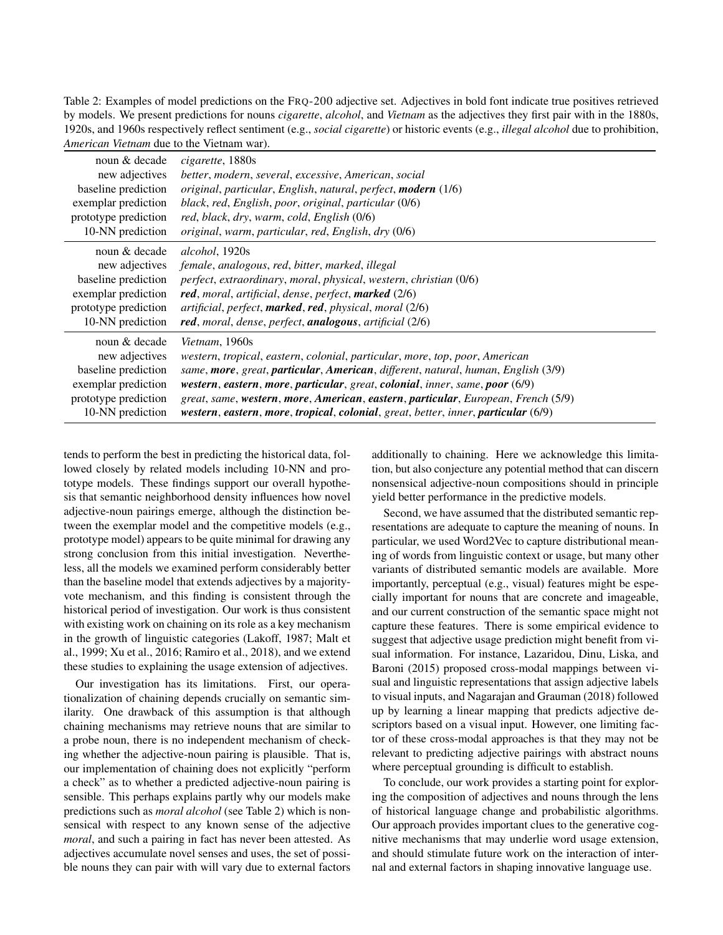Table 2: Examples of model predictions on the FRQ-200 adjective set. Adjectives in bold font indicate true positives retrieved by models. We present predictions for nouns *cigarette*, *alcohol*, and *Vietnam* as the adjectives they first pair with in the 1880s, 1920s, and 1960s respectively reflect sentiment (e.g., *social cigarette*) or historic events (e.g., *illegal alcohol* due to prohibition, *American Vietnam* due to the Vietnam war).

| noun & decade        | cigarette, 1880s                                                                   |
|----------------------|------------------------------------------------------------------------------------|
| new adjectives       | better, modern, several, excessive, American, social                               |
| baseline prediction  | original, particular, English, natural, perfect, modern (1/6)                      |
| exemplar prediction  | black, red, English, poor, original, particular (0/6)                              |
| prototype prediction | red, black, dry, warm, cold, English (0/6)                                         |
| 10-NN prediction     | original, warm, particular, red, English, dry (0/6)                                |
| noun & decade        | <i>alcohol</i> , 1920s                                                             |
| new adjectives       | female, analogous, red, bitter, marked, illegal                                    |
| baseline prediction  | perfect, extraordinary, moral, physical, western, christian (0/6)                  |
| exemplar prediction  | red, moral, artificial, dense, perfect, marked (2/6)                               |
| prototype prediction | artificial, perfect, <b>marked, red</b> , physical, moral (2/6)                    |
| 10-NN prediction     | red, moral, dense, perfect, analogous, artificial (2/6)                            |
| noun & decade        | <i>Vietnam</i> , 1960s                                                             |
| new adjectives       | western, tropical, eastern, colonial, particular, more, top, poor, American        |
| baseline prediction  | same, more, great, particular, American, different, natural, human, English (3/9)  |
| exemplar prediction  | western, eastern, more, particular, great, colonial, inner, same, poor (6/9)       |
| prototype prediction | great, same, western, more, American, eastern, particular, European, French (5/9)  |
| 10-NN prediction     | western, eastern, more, tropical, colonial, great, better, inner, particular (6/9) |

tends to perform the best in predicting the historical data, followed closely by related models including 10-NN and prototype models. These findings support our overall hypothesis that semantic neighborhood density influences how novel adjective-noun pairings emerge, although the distinction between the exemplar model and the competitive models (e.g., prototype model) appears to be quite minimal for drawing any strong conclusion from this initial investigation. Nevertheless, all the models we examined perform considerably better than the baseline model that extends adjectives by a majorityvote mechanism, and this finding is consistent through the historical period of investigation. Our work is thus consistent with existing work on chaining on its role as a key mechanism in the growth of linguistic categories (Lakoff, 1987; Malt et al., 1999; Xu et al., 2016; Ramiro et al., 2018), and we extend these studies to explaining the usage extension of adjectives.

Our investigation has its limitations. First, our operationalization of chaining depends crucially on semantic similarity. One drawback of this assumption is that although chaining mechanisms may retrieve nouns that are similar to a probe noun, there is no independent mechanism of checking whether the adjective-noun pairing is plausible. That is, our implementation of chaining does not explicitly "perform a check" as to whether a predicted adjective-noun pairing is sensible. This perhaps explains partly why our models make predictions such as *moral alcohol* (see Table 2) which is nonsensical with respect to any known sense of the adjective *moral*, and such a pairing in fact has never been attested. As adjectives accumulate novel senses and uses, the set of possible nouns they can pair with will vary due to external factors additionally to chaining. Here we acknowledge this limitation, but also conjecture any potential method that can discern nonsensical adjective-noun compositions should in principle yield better performance in the predictive models.

Second, we have assumed that the distributed semantic representations are adequate to capture the meaning of nouns. In particular, we used Word2Vec to capture distributional meaning of words from linguistic context or usage, but many other variants of distributed semantic models are available. More importantly, perceptual (e.g., visual) features might be especially important for nouns that are concrete and imageable, and our current construction of the semantic space might not capture these features. There is some empirical evidence to suggest that adjective usage prediction might benefit from visual information. For instance, Lazaridou, Dinu, Liska, and Baroni (2015) proposed cross-modal mappings between visual and linguistic representations that assign adjective labels to visual inputs, and Nagarajan and Grauman (2018) followed up by learning a linear mapping that predicts adjective descriptors based on a visual input. However, one limiting factor of these cross-modal approaches is that they may not be relevant to predicting adjective pairings with abstract nouns where perceptual grounding is difficult to establish.

To conclude, our work provides a starting point for exploring the composition of adjectives and nouns through the lens of historical language change and probabilistic algorithms. Our approach provides important clues to the generative cognitive mechanisms that may underlie word usage extension, and should stimulate future work on the interaction of internal and external factors in shaping innovative language use.